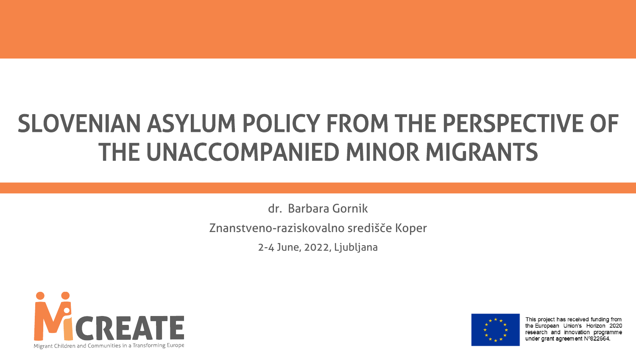### SLOVENIAN ASYLUM POLICY FROM THE PERSPECTIVE OF THE UNACCOMPANIED MINOR MIGRANTS

dr. Barbara Gornik Znanstveno-raziskovalno središče Koper

2-4 June, 2022, Ljubljana





This project has received funding from the European Union's Horizon 2020 research and innovation programme under grant agreement Nº822664.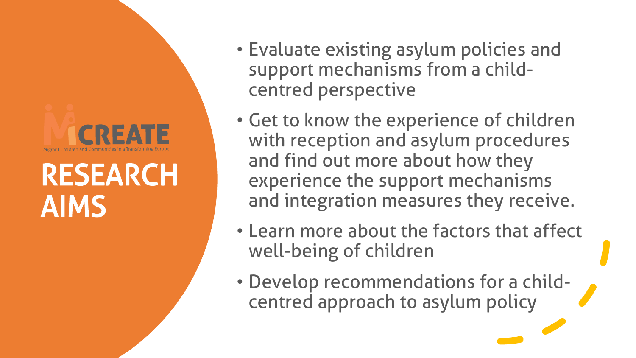# CREA

### RESEARCH AIMS

- Evaluate existing asylum policies and support mechanisms from a childcentred perspective
- Get to know the experience of children with reception and asylum procedures and find out more about how they experience the support mechanisms and integration measures they receive.
- Learn more about the factors that affect well-being of children
- Develop recommendations for a childcentred approach to asylum policy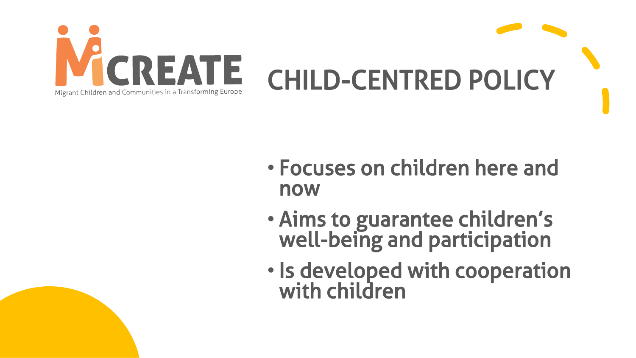

- Focuses on children here and now
- Aims to guarantee children's well-being and participation
- Is developed with cooperation with children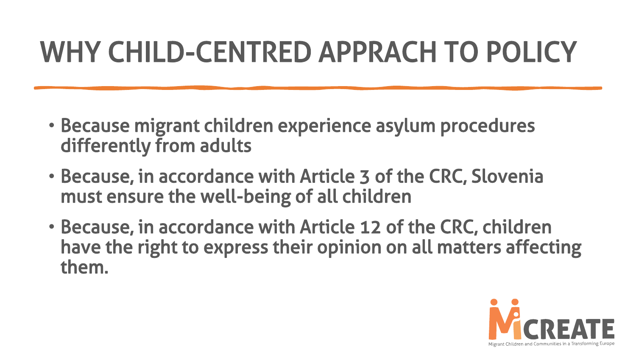### WHY CHILD-CENTRED APPRACH TO POLICY

- Because migrant children experience asylum procedures differently from adults
- Because, in accordance with Article 3 of the CRC, Slovenia must ensure the well-being of all children
- Because, in accordance with Article 12 of the CRC, children have the right to express their opinion on all matters affecting them.

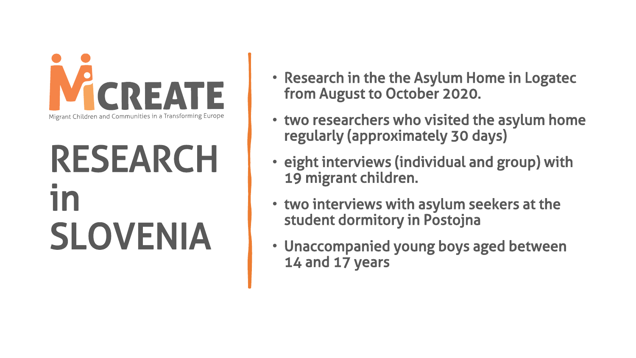

## RESEARCH in SLOVENIA

- Research in the the Asylum Home in Logatec from August to October 2020.
- two researchers who visited the asylum home regularly (approximately 30 days)
- eight interviews (individual and group) with 19 migrant children.
- two interviews with asylum seekers at the student dormitory in Postojna
- Unaccompanied young boys aged between 14 and 17 years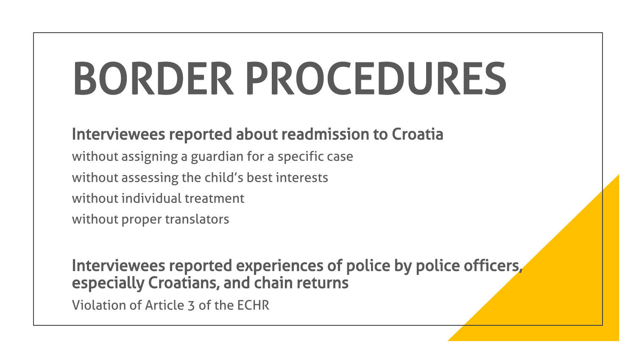# BORDER PROCEDURES

#### Interviewees reported about readmission to Croatia

without assigning a guardian for a specific case without assessing the child's best interests without individual treatment without proper translators

Interviewees reported experiences of police by police officers, especially Croatians, and chain returns

Violation of Article 3 of the ECHR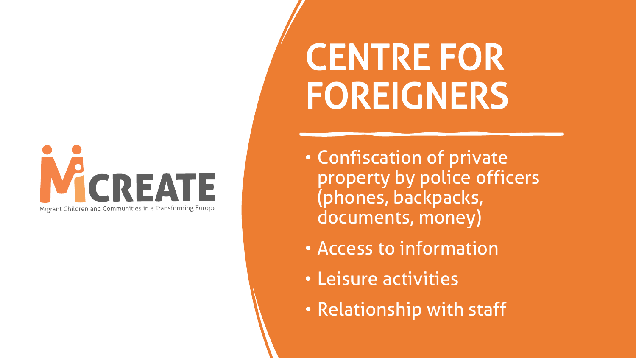### CREATE Migrant Children and Communities in a Transforming Europe

# CENTRE FOR FOREIGNERS

- Confiscation of private property by police officers (phones, backpacks, documents, money)
- Access to information
- Leisure activities
- Relationship with staff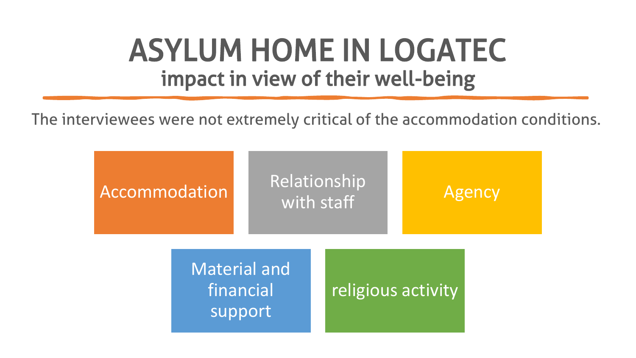### ASYLUM HOME IN LOGATEC impact in view of their well-being

The interviewees were not extremely critical of the accommodation conditions.

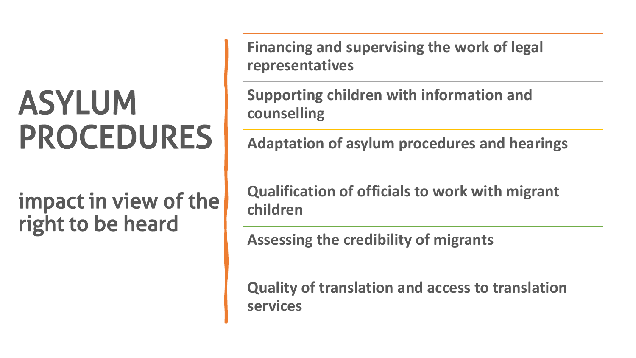## ASYLUM PROCEDURES

impact in view of the right to be heard

**Financing and supervising the work of legal representatives**

**Supporting children with information and counselling**

**Adaptation of asylum procedures and hearings**

**Qualification of officials to work with migrant children**

**Assessing the credibility of migrants**

**Quality of translation and access to translation services**